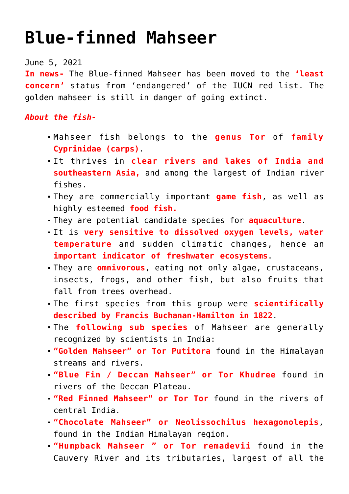## **[Blue-finned Mahseer](https://journalsofindia.com/blue-finned-mahseer/)**

## June 5, 2021

**In news-** The Blue-finned Mahseer has been moved to the **'least concern'** status from 'endangered' of the IUCN red list. The golden mahseer is still in danger of going extinct.

## *About the fish-*

- Mahseer fish belongs to the **genus Tor** of **family Cyprinidae (carps)**.
- It thrives in **clear rivers and lakes of India and southeastern Asia,** and among the largest of Indian river fishes.
- They are commercially important **game fish**, as well as highly esteemed **food fish.**
- They are potential candidate species for **aquaculture**.
- It is **very sensitive to dissolved oxygen levels, water temperature** and sudden climatic changes, hence an **important indicator of freshwater ecosystems**.
- They are **omnivorous**, eating not only algae, crustaceans, insects, frogs, and other fish, but also fruits that fall from trees overhead.
- The first species from this group were **scientifically described by Francis Buchanan-Hamilton in 1822**.
- The **following sub species** of Mahseer are generally recognized by scientists in India:
- **"Golden Mahseer" or Tor Putitora** found in the Himalayan streams and rivers.
- **"Blue Fin / Deccan Mahseer" or Tor Khudree** found in rivers of the Deccan Plateau.
- **"Red Finned Mahseer" or Tor Tor** found in the rivers of central India.
- **"Chocolate Mahseer" or Neolissochilus hexagonolepis**, found in the Indian Himalayan region.
- **"Humpback Mahseer " or Tor remadevii** found in the Cauvery River and its tributaries, largest of all the